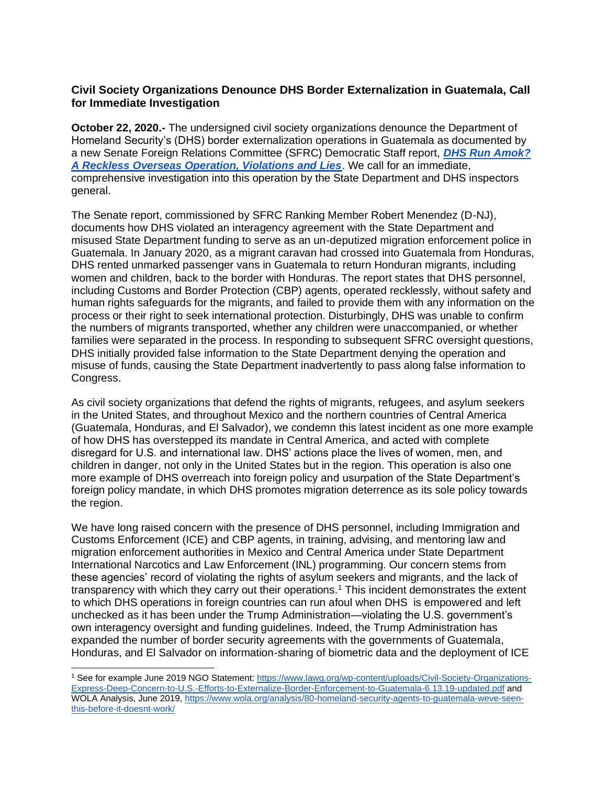# **Civil Society Organizations Denounce DHS Border Externalization in Guatemala, Call for Immediate Investigation**

**October 22, 2020.-** The undersigned civil society organizations denounce the Department of Homeland Security's (DHS) border externalization operations in Guatemala as documented by a new Senate Foreign Relations Committee (SFRC) Democratic Staff report, *[DHS Run Amok?](https://www.foreign.senate.gov/imo/media/doc/Final%20INL%20DHS%20Report.pdf)  [A Reckless Overseas Operation, Violations and Lies](https://www.foreign.senate.gov/imo/media/doc/Final%20INL%20DHS%20Report.pdf)*. We call for an immediate, comprehensive investigation into this operation by the State Department and DHS inspectors general.

The Senate report, commissioned by SFRC Ranking Member Robert Menendez (D-NJ), documents how DHS violated an interagency agreement with the State Department and misused State Department funding to serve as an un-deputized migration enforcement police in Guatemala. In January 2020, as a migrant caravan had crossed into Guatemala from Honduras, DHS rented unmarked passenger vans in Guatemala to return Honduran migrants, including women and children, back to the border with Honduras. The report states that DHS personnel, including Customs and Border Protection (CBP) agents, operated recklessly, without safety and human rights safeguards for the migrants, and failed to provide them with any information on the process or their right to seek international protection. Disturbingly, DHS was unable to confirm the numbers of migrants transported, whether any children were unaccompanied, or whether families were separated in the process. In responding to subsequent SFRC oversight questions, DHS initially provided false information to the State Department denying the operation and misuse of funds, causing the State Department inadvertently to pass along false information to Congress.

As civil society organizations that defend the rights of migrants, refugees, and asylum seekers in the United States, and throughout Mexico and the northern countries of Central America (Guatemala, Honduras, and El Salvador), we condemn this latest incident as one more example of how DHS has overstepped its mandate in Central America, and acted with complete disregard for U.S. and international law. DHS' actions place the lives of women, men, and children in danger, not only in the United States but in the region. This operation is also one more example of DHS overreach into foreign policy and usurpation of the State Department's foreign policy mandate, in which DHS promotes migration deterrence as its sole policy towards the region.

We have long raised concern with the presence of DHS personnel, including Immigration and Customs Enforcement (ICE) and CBP agents, in training, advising, and mentoring law and migration enforcement authorities in Mexico and Central America under State Department International Narcotics and Law Enforcement (INL) programming. Our concern stems from these agencies' record of violating the rights of asylum seekers and migrants, and the lack of transparency with which they carry out their operations.<sup>1</sup> This incident demonstrates the extent to which DHS operations in foreign countries can run afoul when DHS is empowered and left unchecked as it has been under the Trump Administration—violating the U.S. government's own interagency oversight and funding guidelines. Indeed, the Trump Administration has expanded the number of border security agreements with the governments of Guatemala, Honduras, and El Salvador on information-sharing of biometric data and the deployment of ICE

<sup>1</sup> See for example June 2019 NGO Statement: [https://www.lawg.org/wp-content/uploads/Civil-Society-Organizations-](https://www.lawg.org/wp-content/uploads/Civil-Society-Organizations-Express-Deep-Concern-to-U.S.-Efforts-to-Externalize-Border-Enforcement-to-Guatemala-6.13.19-updated.pdf)[Express-Deep-Concern-to-U.S.-Efforts-to-Externalize-Border-Enforcement-to-Guatemala-6.13.19-updated.pdf](https://www.lawg.org/wp-content/uploads/Civil-Society-Organizations-Express-Deep-Concern-to-U.S.-Efforts-to-Externalize-Border-Enforcement-to-Guatemala-6.13.19-updated.pdf) and WOLA Analysis, June 2019, [https://www.wola.org/analysis/80-homeland-security-agents-to-guatemala-weve-seen](https://www.wola.org/analysis/80-homeland-security-agents-to-guatemala-weve-seen-this-before-it-doesnt-work/)[this-before-it-doesnt-work/](https://www.wola.org/analysis/80-homeland-security-agents-to-guatemala-weve-seen-this-before-it-doesnt-work/)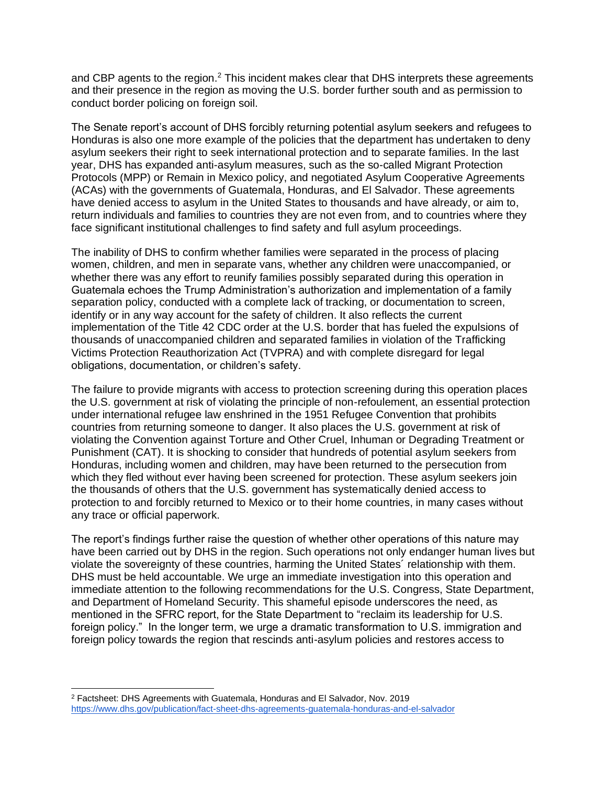and CBP agents to the region.<sup>2</sup> This incident makes clear that DHS interprets these agreements and their presence in the region as moving the U.S. border further south and as permission to conduct border policing on foreign soil.

The Senate report's account of DHS forcibly returning potential asylum seekers and refugees to Honduras is also one more example of the policies that the department has undertaken to deny asylum seekers their right to seek international protection and to separate families. In the last year, DHS has expanded anti-asylum measures, such as the so-called Migrant Protection Protocols (MPP) or Remain in Mexico policy, and negotiated Asylum Cooperative Agreements (ACAs) with the governments of Guatemala, Honduras, and El Salvador. These agreements have denied access to asylum in the United States to thousands and have already, or aim to, return individuals and families to countries they are not even from, and to countries where they face significant institutional challenges to find safety and full asylum proceedings.

The inability of DHS to confirm whether families were separated in the process of placing women, children, and men in separate vans, whether any children were unaccompanied, or whether there was any effort to reunify families possibly separated during this operation in Guatemala echoes the Trump Administration's authorization and implementation of a family separation policy, conducted with a complete lack of tracking, or documentation to screen, identify or in any way account for the safety of children. It also reflects the current implementation of the Title 42 CDC order at the U.S. border that has fueled the expulsions of thousands of unaccompanied children and separated families in violation of the Trafficking Victims Protection Reauthorization Act (TVPRA) and with complete disregard for legal obligations, documentation, or children's safety.

The failure to provide migrants with access to protection screening during this operation places the U.S. government at risk of violating the principle of non-refoulement, an essential protection under international refugee law enshrined in the 1951 Refugee Convention that prohibits countries from returning someone to danger. It also places the U.S. government at risk of violating the Convention against Torture and Other Cruel, Inhuman or Degrading Treatment or Punishment (CAT). It is shocking to consider that hundreds of potential asylum seekers from Honduras, including women and children, may have been returned to the persecution from which they fled without ever having been screened for protection. These asylum seekers join the thousands of others that the U.S. government has systematically denied access to protection to and forcibly returned to Mexico or to their home countries, in many cases without any trace or official paperwork.

The report's findings further raise the question of whether other operations of this nature may have been carried out by DHS in the region. Such operations not only endanger human lives but violate the sovereignty of these countries, harming the United States´ relationship with them. DHS must be held accountable. We urge an immediate investigation into this operation and immediate attention to the following recommendations for the U.S. Congress, State Department, and Department of Homeland Security. This shameful episode underscores the need, as mentioned in the SFRC report, for the State Department to "reclaim its leadership for U.S. foreign policy." In the longer term, we urge a dramatic transformation to U.S. immigration and foreign policy towards the region that rescinds anti-asylum policies and restores access to

<sup>2</sup> Factsheet: DHS Agreements with Guatemala, Honduras and El Salvador, Nov. 2019 <https://www.dhs.gov/publication/fact-sheet-dhs-agreements-guatemala-honduras-and-el-salvador>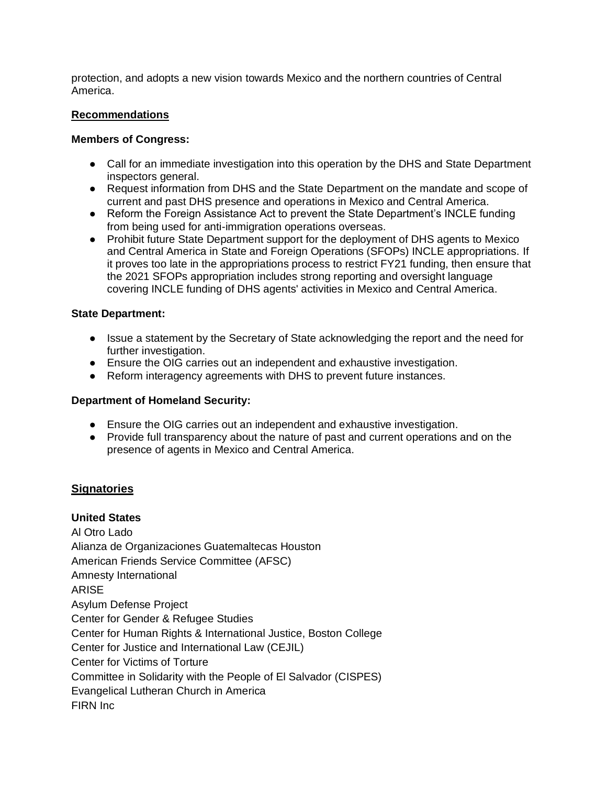protection, and adopts a new vision towards Mexico and the northern countries of Central America.

### **Recommendations**

### **Members of Congress:**

- Call for an immediate investigation into this operation by the DHS and State Department inspectors general.
- Request information from DHS and the State Department on the mandate and scope of current and past DHS presence and operations in Mexico and Central America.
- Reform the Foreign Assistance Act to prevent the State Department's INCLE funding from being used for anti-immigration operations overseas.
- Prohibit future State Department support for the deployment of DHS agents to Mexico and Central America in State and Foreign Operations (SFOPs) INCLE appropriations. If it proves too late in the appropriations process to restrict FY21 funding, then ensure that the 2021 SFOPs appropriation includes strong reporting and oversight language covering INCLE funding of DHS agents' activities in Mexico and Central America.

### **State Department:**

- Issue a statement by the Secretary of State acknowledging the report and the need for further investigation.
- Ensure the OIG carries out an independent and exhaustive investigation.
- Reform interagency agreements with DHS to prevent future instances.

## **Department of Homeland Security:**

- Ensure the OIG carries out an independent and exhaustive investigation.
- Provide full transparency about the nature of past and current operations and on the presence of agents in Mexico and Central America.

## **Signatories**

# **United States**

Al Otro Lado Alianza de Organizaciones Guatemaltecas Houston American Friends Service Committee (AFSC) Amnesty International ARISE Asylum Defense Project Center for Gender & Refugee Studies Center for Human Rights & International Justice, Boston College Center for Justice and International Law (CEJIL) Center for Victims of Torture Committee in Solidarity with the People of El Salvador (CISPES) Evangelical Lutheran Church in America FIRN Inc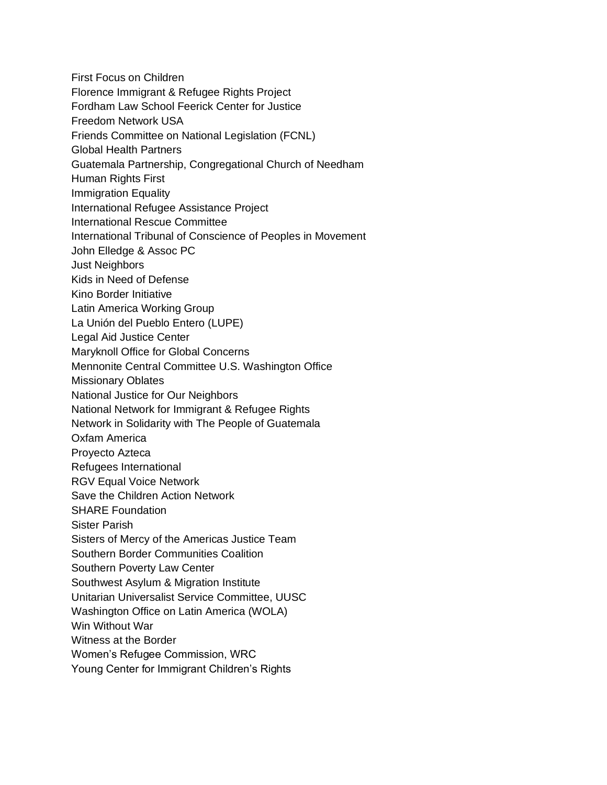- First Focus on Children
- Florence Immigrant & Refugee Rights Project
- Fordham Law School Feerick Center for Justice
- Freedom Network USA
- Friends Committee on National Legislation (FCNL)
- Global Health Partners
- Guatemala Partnership, Congregational Church of Needham
- Human Rights First
- Immigration Equality
- International Refugee Assistance Project
- International Rescue Committee
- International Tribunal of Conscience of Peoples in Movement
- John Elledge & Assoc PC
- Just Neighbors
- Kids in Need of Defense
- Kino Border Initiative
- Latin America Working Group
- La Unión del Pueblo Entero (LUPE)
- Legal Aid Justice Center
- Maryknoll Office for Global Concerns
- Mennonite Central Committee U.S. Washington Office
- Missionary Oblates
- National Justice for Our Neighbors
- National Network for Immigrant & Refugee Rights
- Network in Solidarity with The People of Guatemala
- Oxfam America
- Proyecto Azteca
- Refugees International
- RGV Equal Voice Network
- Save the Children Action Network
- SHARE Foundation
- Sister Parish
- Sisters of Mercy of the Americas Justice Team
- Southern Border Communities Coalition
- Southern Poverty Law Center
- Southwest Asylum & Migration Institute
- Unitarian Universalist Service Committee, UUSC
- Washington Office on Latin America (WOLA)
- Win Without War
- Witness at the Border
- Women's Refugee Commission, WRC
- Young Center for Immigrant Children's Rights